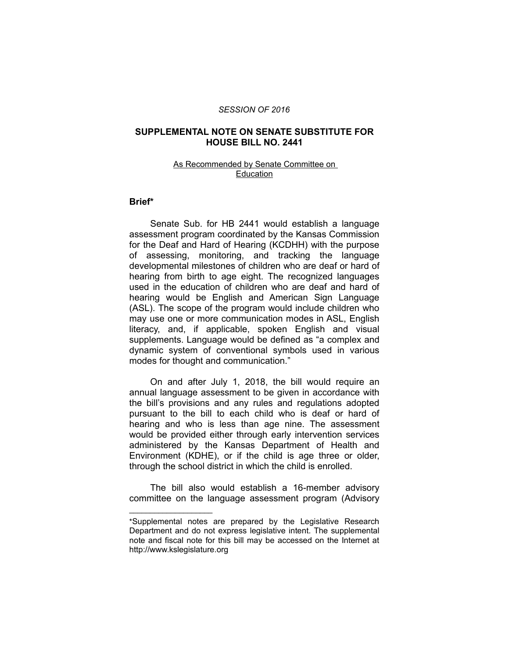#### *SESSION OF 2016*

### **SUPPLEMENTAL NOTE ON SENATE SUBSTITUTE FOR HOUSE BILL NO. 2441**

#### As Recommended by Senate Committee on Education

## **Brief\***

Senate Sub. for HB 2441 would establish a language assessment program coordinated by the Kansas Commission for the Deaf and Hard of Hearing (KCDHH) with the purpose of assessing, monitoring, and tracking the language developmental milestones of children who are deaf or hard of hearing from birth to age eight. The recognized languages used in the education of children who are deaf and hard of hearing would be English and American Sign Language (ASL). The scope of the program would include children who may use one or more communication modes in ASL, English literacy, and, if applicable, spoken English and visual supplements. Language would be defined as "a complex and dynamic system of conventional symbols used in various modes for thought and communication."

On and after July 1, 2018, the bill would require an annual language assessment to be given in accordance with the bill's provisions and any rules and regulations adopted pursuant to the bill to each child who is deaf or hard of hearing and who is less than age nine. The assessment would be provided either through early intervention services administered by the Kansas Department of Health and Environment (KDHE), or if the child is age three or older, through the school district in which the child is enrolled.

The bill also would establish a 16-member advisory committee on the language assessment program (Advisory

 $\overline{\phantom{a}}$  , where  $\overline{\phantom{a}}$  , where  $\overline{\phantom{a}}$ 

<sup>\*</sup>Supplemental notes are prepared by the Legislative Research Department and do not express legislative intent. The supplemental note and fiscal note for this bill may be accessed on the Internet at http://www.kslegislature.org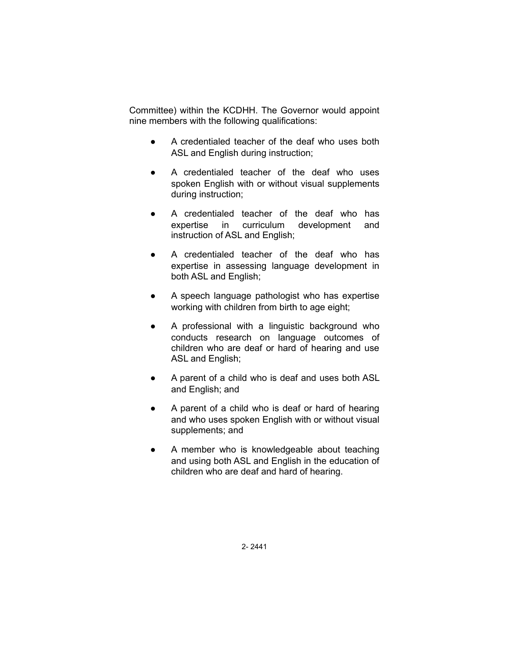Committee) within the KCDHH. The Governor would appoint nine members with the following qualifications:

- A credentialed teacher of the deaf who uses both ASL and English during instruction;
- A credentialed teacher of the deaf who uses spoken English with or without visual supplements during instruction;
- A credentialed teacher of the deaf who has expertise in curriculum development and instruction of ASL and English;
- A credentialed teacher of the deaf who has expertise in assessing language development in both ASL and English;
- A speech language pathologist who has expertise working with children from birth to age eight;
- A professional with a linguistic background who conducts research on language outcomes of children who are deaf or hard of hearing and use ASL and English;
- A parent of a child who is deaf and uses both ASL and English; and
- A parent of a child who is deaf or hard of hearing and who uses spoken English with or without visual supplements; and
- A member who is knowledgeable about teaching and using both ASL and English in the education of children who are deaf and hard of hearing.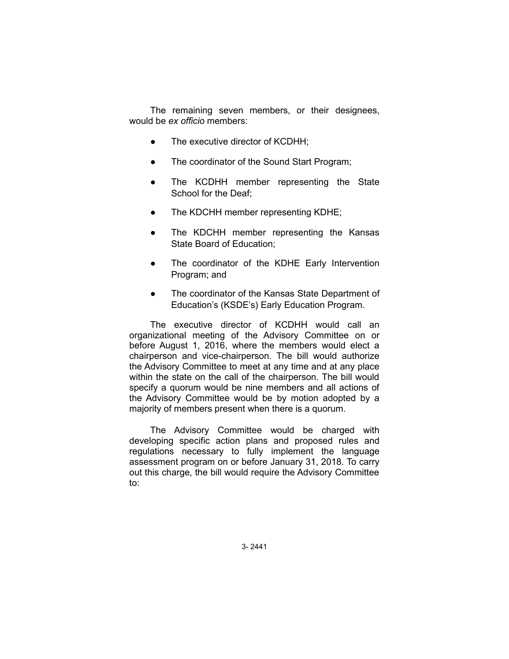The remaining seven members, or their designees, would be *ex officio* members:

- The executive director of KCDHH;
- The coordinator of the Sound Start Program;
- The KCDHH member representing the State School for the Deaf;
- The KDCHH member representing KDHE;
- The KDCHH member representing the Kansas State Board of Education;
- The coordinator of the KDHE Early Intervention Program; and
- The coordinator of the Kansas State Department of Education's (KSDE's) Early Education Program.

The executive director of KCDHH would call an organizational meeting of the Advisory Committee on or before August 1, 2016, where the members would elect a chairperson and vice-chairperson. The bill would authorize the Advisory Committee to meet at any time and at any place within the state on the call of the chairperson. The bill would specify a quorum would be nine members and all actions of the Advisory Committee would be by motion adopted by a majority of members present when there is a quorum.

The Advisory Committee would be charged with developing specific action plans and proposed rules and regulations necessary to fully implement the language assessment program on or before January 31, 2018. To carry out this charge, the bill would require the Advisory Committee to: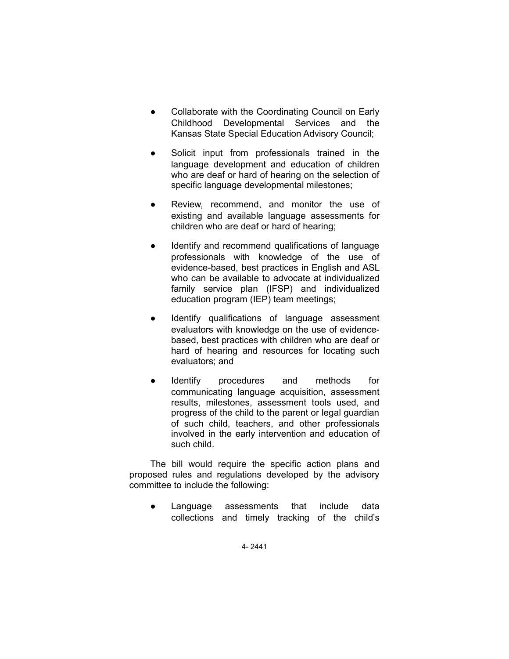- Collaborate with the Coordinating Council on Early Childhood Developmental Services and the Kansas State Special Education Advisory Council;
- Solicit input from professionals trained in the language development and education of children who are deaf or hard of hearing on the selection of specific language developmental milestones;
- Review, recommend, and monitor the use of existing and available language assessments for children who are deaf or hard of hearing;
- Identify and recommend qualifications of language professionals with knowledge of the use of evidence-based, best practices in English and ASL who can be available to advocate at individualized family service plan (IFSP) and individualized education program (IEP) team meetings;
- Identify qualifications of language assessment evaluators with knowledge on the use of evidencebased, best practices with children who are deaf or hard of hearing and resources for locating such evaluators; and
- Identify procedures and methods for communicating language acquisition, assessment results, milestones, assessment tools used, and progress of the child to the parent or legal guardian of such child, teachers, and other professionals involved in the early intervention and education of such child.

The bill would require the specific action plans and proposed rules and regulations developed by the advisory committee to include the following:

Language assessments that include data collections and timely tracking of the child's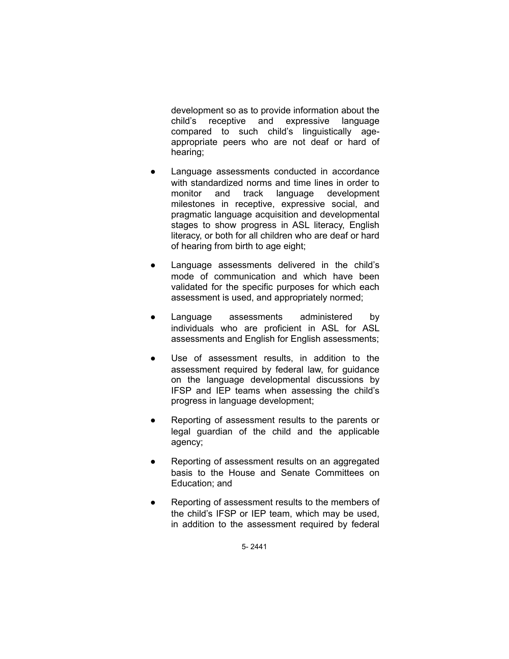development so as to provide information about the child's receptive and expressive language compared to such child's linguistically ageappropriate peers who are not deaf or hard of hearing;

- Language assessments conducted in accordance with standardized norms and time lines in order to monitor and track language development milestones in receptive, expressive social, and pragmatic language acquisition and developmental stages to show progress in ASL literacy, English literacy, or both for all children who are deaf or hard of hearing from birth to age eight;
- Language assessments delivered in the child's mode of communication and which have been validated for the specific purposes for which each assessment is used, and appropriately normed;
- Language assessments administered by individuals who are proficient in ASL for ASL assessments and English for English assessments;
- Use of assessment results, in addition to the assessment required by federal law, for guidance on the language developmental discussions by IFSP and IEP teams when assessing the child's progress in language development;
- Reporting of assessment results to the parents or legal guardian of the child and the applicable agency;
- Reporting of assessment results on an aggregated basis to the House and Senate Committees on Education; and
- Reporting of assessment results to the members of the child's IFSP or IEP team, which may be used, in addition to the assessment required by federal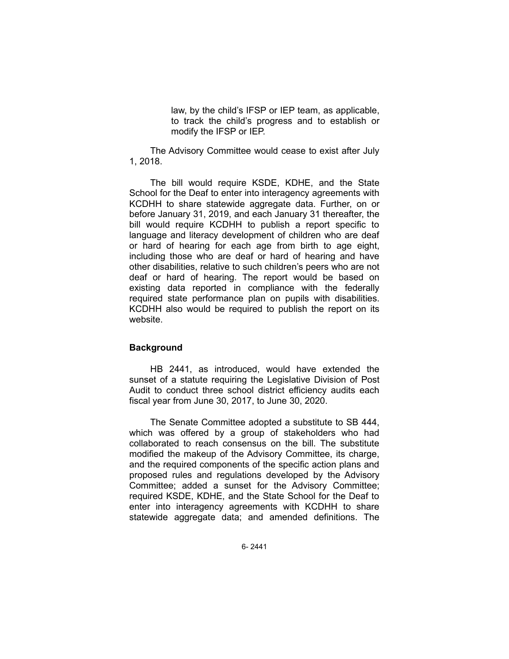law, by the child's IFSP or IEP team, as applicable, to track the child's progress and to establish or modify the IFSP or IEP.

The Advisory Committee would cease to exist after July 1, 2018.

The bill would require KSDE, KDHE, and the State School for the Deaf to enter into interagency agreements with KCDHH to share statewide aggregate data. Further, on or before January 31, 2019, and each January 31 thereafter, the bill would require KCDHH to publish a report specific to language and literacy development of children who are deaf or hard of hearing for each age from birth to age eight, including those who are deaf or hard of hearing and have other disabilities, relative to such children's peers who are not deaf or hard of hearing. The report would be based on existing data reported in compliance with the federally required state performance plan on pupils with disabilities. KCDHH also would be required to publish the report on its website.

# **Background**

HB 2441, as introduced, would have extended the sunset of a statute requiring the Legislative Division of Post Audit to conduct three school district efficiency audits each fiscal year from June 30, 2017, to June 30, 2020.

The Senate Committee adopted a substitute to SB 444, which was offered by a group of stakeholders who had collaborated to reach consensus on the bill. The substitute modified the makeup of the Advisory Committee, its charge, and the required components of the specific action plans and proposed rules and regulations developed by the Advisory Committee; added a sunset for the Advisory Committee; required KSDE, KDHE, and the State School for the Deaf to enter into interagency agreements with KCDHH to share statewide aggregate data; and amended definitions. The